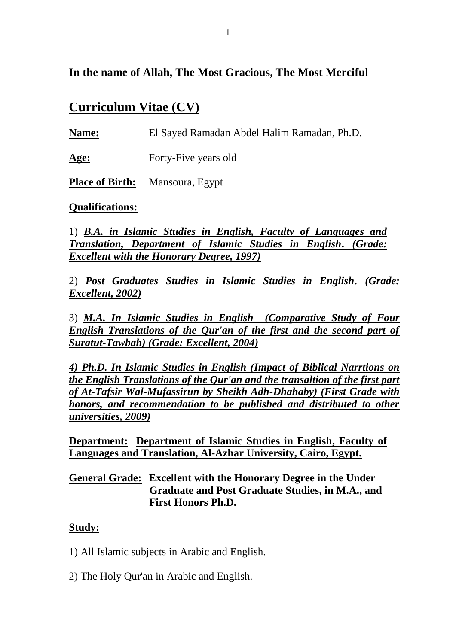## **In the name of Allah, The Most Gracious, The Most Merciful**

# **Curriculum Vitae (CV)**

**Name:** El Sayed Ramadan Abdel Halim Ramadan, Ph.D.

Age: Forty-Five years old

**Place of Birth:** Mansoura, Egypt

#### **Qualifications:**

1) *B.A. in Islamic Studies in English, Faculty of Languages and Translation, Department of Islamic Studies in English. (Grade: Excellent with the Honorary Degree, 1997)*

2) *Post Graduates Studies in Islamic Studies in English. (Grade: Excellent, 2002)*

3) *M.A. In Islamic Studies in English (Comparative Study of Four English Translations of the Qur'an of the first and the second part of Suratut-Tawbah) (Grade: Excellent, 2004)*

*4) Ph.D. In Islamic Studies in English (Impact of Biblical Narrtions on the English Translations of the Qur'an and the transaltion of the first part of At-Tafsir Wal-Mufassirun by Sheikh Adh-Dhahaby) (First Grade with honors, and recommendation to be published and distributed to other universities, 2009)*

**Department: Department of Islamic Studies in English, Faculty of Languages and Translation, Al-Azhar University, Cairo, Egypt.**

**General Grade: Excellent with the Honorary Degree in the Under Graduate and Post Graduate Studies, in M.A., and First Honors Ph.D.**

## **Study:**

- 1) All Islamic subjects in Arabic and English.
- 2) The Holy Qur'an in Arabic and English.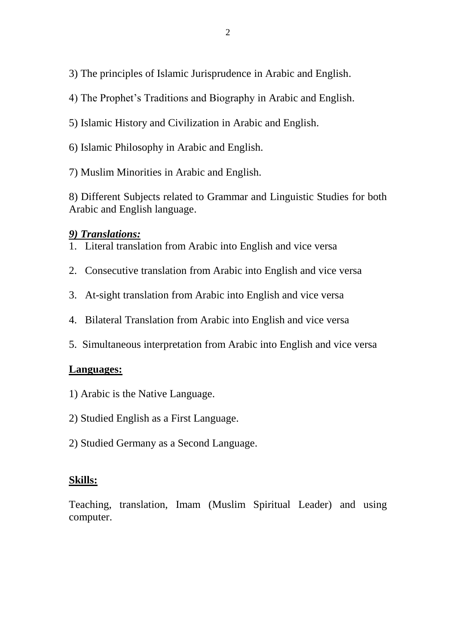3) The principles of Islamic Jurisprudence in Arabic and English.

- 4) The Prophet's Traditions and Biography in Arabic and English.
- 5) Islamic History and Civilization in Arabic and English.
- 6) Islamic Philosophy in Arabic and English.
- 7) Muslim Minorities in Arabic and English.

8) Different Subjects related to Grammar and Linguistic Studies for both Arabic and English language.

## *9) Translations:*

- 1. Literal translation from Arabic into English and vice versa
- 2. Consecutive translation from Arabic into English and vice versa
- 3. At-sight translation from Arabic into English and vice versa
- 4. Bilateral Translation from Arabic into English and vice versa
- 5. Simultaneous interpretation from Arabic into English and vice versa

## **Languages:**

- 1) Arabic is the Native Language.
- 2) Studied English as a First Language.
- 2) Studied Germany as a Second Language.

## **Skills:**

Teaching, translation, Imam (Muslim Spiritual Leader) and using computer.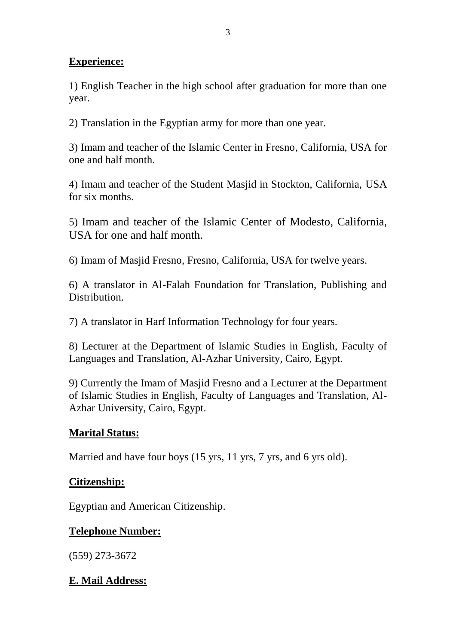#### **Experience:**

1) English Teacher in the high school after graduation for more than one year.

2) Translation in the Egyptian army for more than one year.

3) Imam and teacher of the Islamic Center in Fresno, California, USA for one and half month.

4) Imam and teacher of the Student Masjid in Stockton, California, USA for six months.

5) Imam and teacher of the Islamic Center of Modesto, California, USA for one and half month.

6) Imam of Masjid Fresno, Fresno, California, USA for twelve years.

6) A translator in Al-Falah Foundation for Translation, Publishing and Distribution.

7) A translator in Harf Information Technology for four years.

8) Lecturer at the Department of Islamic Studies in English, Faculty of Languages and Translation, Al-Azhar University, Cairo, Egypt.

9) Currently the Imam of Masjid Fresno and a Lecturer at the Department of Islamic Studies in English, Faculty of Languages and Translation, Al-Azhar University, Cairo, Egypt.

## **Marital Status:**

Married and have four boys (15 yrs, 11 yrs, 7 yrs, and 6 yrs old).

#### **Citizenship:**

Egyptian and American Citizenship.

#### **Telephone Number:**

(559) 273-3672

## **E. Mail Address:**